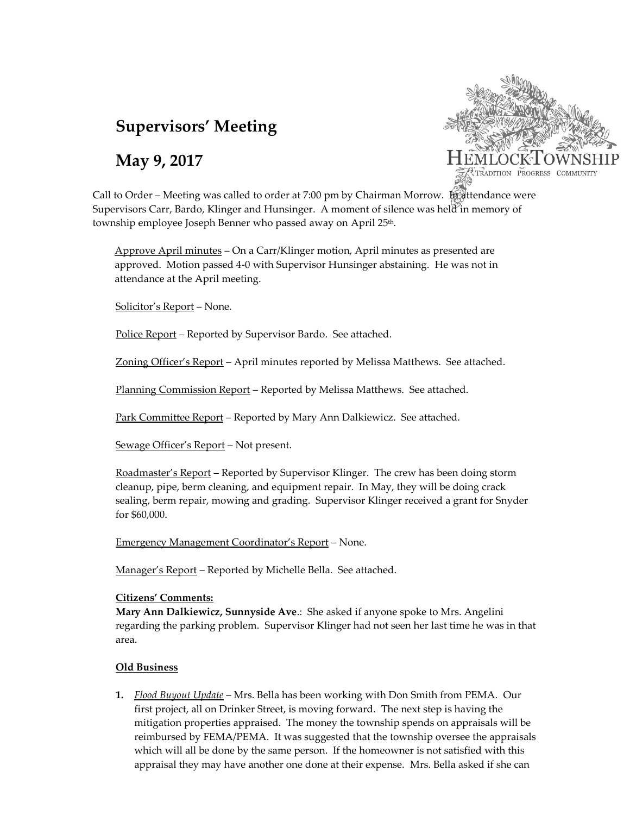# **Supervisors' Meeting**

## **May 9, 2017**



Call to Order – Meeting was called to order at 7:00 pm by Chairman Morrow. In attendance were Supervisors Carr, Bardo, Klinger and Hunsinger. A moment of silence was held in memory of township employee Joseph Benner who passed away on April 25<sup>th</sup>.

Approve April minutes – On a Carr/Klinger motion, April minutes as presented are approved. Motion passed 4-0 with Supervisor Hunsinger abstaining. He was not in attendance at the April meeting.

Solicitor's Report – None.

Police Report - Reported by Supervisor Bardo. See attached.

Zoning Officer's Report – April minutes reported by Melissa Matthews. See attached.

Planning Commission Report - Reported by Melissa Matthews. See attached.

Park Committee Report – Reported by Mary Ann Dalkiewicz. See attached.

Sewage Officer's Report – Not present.

Roadmaster's Report – Reported by Supervisor Klinger. The crew has been doing storm cleanup, pipe, berm cleaning, and equipment repair. In May, they will be doing crack sealing, berm repair, mowing and grading. Supervisor Klinger received a grant for Snyder for \$60,000.

Emergency Management Coordinator's Report – None.

Manager's Report - Reported by Michelle Bella. See attached.

#### **Citizens' Comments:**

**Mary Ann Dalkiewicz, Sunnyside Ave**.: She asked if anyone spoke to Mrs. Angelini regarding the parking problem. Supervisor Klinger had not seen her last time he was in that area.

### **Old Business**

**1.** *Flood Buyout Update* – Mrs. Bella has been working with Don Smith from PEMA. Our first project, all on Drinker Street, is moving forward. The next step is having the mitigation properties appraised. The money the township spends on appraisals will be reimbursed by FEMA/PEMA. It was suggested that the township oversee the appraisals which will all be done by the same person. If the homeowner is not satisfied with this appraisal they may have another one done at their expense. Mrs. Bella asked if she can